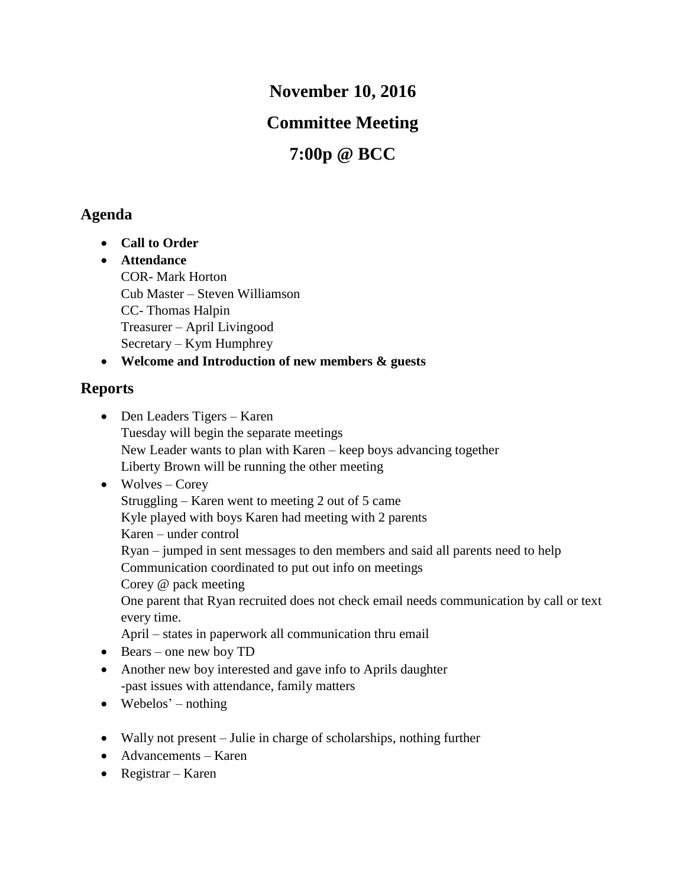**November 10, 2016**

## **Committee Meeting**

# **7:00p @ BCC**

## **Agenda**

- **Call to Order**
- **Attendance** COR- Mark Horton Cub Master – Steven Williamson CC- Thomas Halpin Treasurer – April Livingood Secretary – Kym Humphrey

**Welcome and Introduction of new members & guests**

#### **Reports**

- Den Leaders Tigers Karen Tuesday will begin the separate meetings New Leader wants to plan with Karen – keep boys advancing together Liberty Brown will be running the other meeting
- $\bullet$  Wolves Corey Struggling – Karen went to meeting 2 out of 5 came Kyle played with boys Karen had meeting with 2 parents Karen – under control Ryan – jumped in sent messages to den members and said all parents need to help Communication coordinated to put out info on meetings Corey @ pack meeting One parent that Ryan recruited does not check email needs communication by call or text every time. April – states in paperwork all communication thru email
- Bears one new boy TD
- Another new boy interested and gave info to Aprils daughter -past issues with attendance, family matters
- $\bullet$  Webelos' nothing
- Wally not present Julie in charge of scholarships, nothing further
- Advancements Karen
- Registrar Karen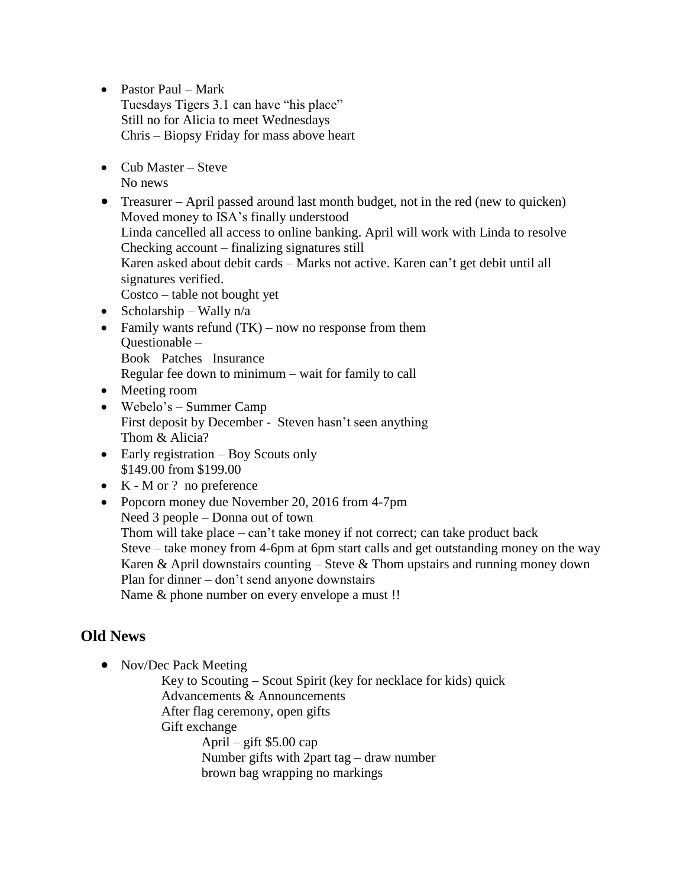- Pastor Paul Mark Tuesdays Tigers 3.1 can have "his place" Still no for Alicia to meet Wednesdays Chris – Biopsy Friday for mass above heart
- $\bullet$  Cub Master Steve No news
- Treasurer April passed around last month budget, not in the red (new to quicken) Moved money to ISA's finally understood Linda cancelled all access to online banking. April will work with Linda to resolve Checking account – finalizing signatures still Karen asked about debit cards – Marks not active. Karen can't get debit until all signatures verified. Costco – table not bought yet
- Scholarship Wally  $n/a$
- Family wants refund  $(TK)$  now no response from them Questionable – Book Patches Insurance Regular fee down to minimum – wait for family to call
- Meeting room
- Webelo's Summer Camp First deposit by December - Steven hasn't seen anything Thom & Alicia?
- Early registration Boy Scouts only \$149.00 from \$199.00
- $\bullet$  K M or ? no preference
- Popcorn money due November 20, 2016 from 4-7pm Need 3 people – Donna out of town Thom will take place – can't take money if not correct; can take product back Steve – take money from 4-6pm at 6pm start calls and get outstanding money on the way Karen & April downstairs counting – Steve & Thom upstairs and running money down Plan for dinner – don't send anyone downstairs Name & phone number on every envelope a must !!

### **Old News**

• Nov/Dec Pack Meeting

Key to Scouting – Scout Spirit (key for necklace for kids) quick Advancements & Announcements After flag ceremony, open gifts Gift exchange April – gift  $$5.00$  cap Number gifts with 2part tag – draw number brown bag wrapping no markings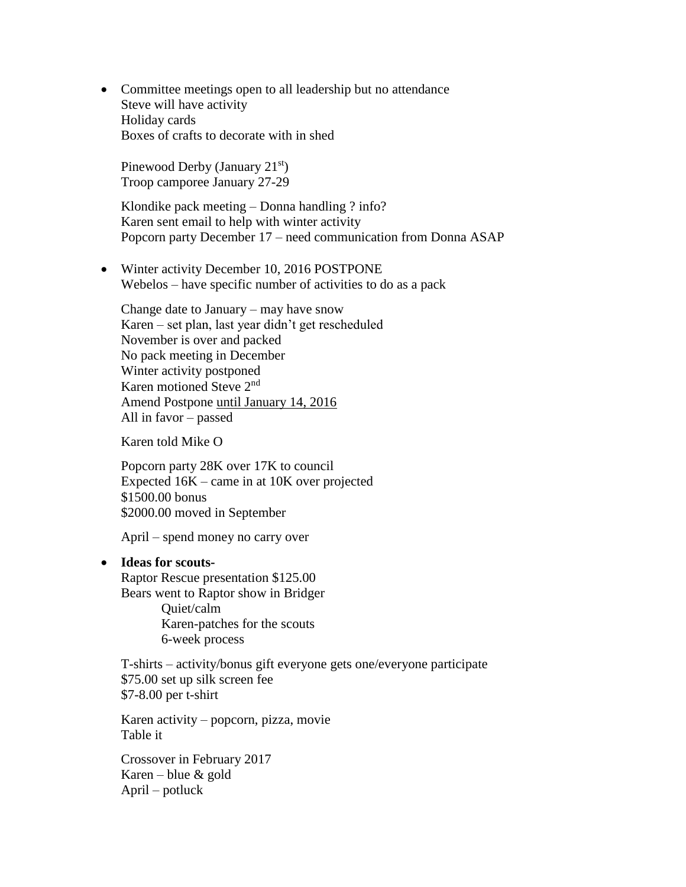Committee meetings open to all leadership but no attendance Steve will have activity Holiday cards Boxes of crafts to decorate with in shed

Pinewood Derby (January 21<sup>st</sup>) Troop camporee January 27-29

Klondike pack meeting – Donna handling ? info? Karen sent email to help with winter activity Popcorn party December 17 – need communication from Donna ASAP

• Winter activity December 10, 2016 POSTPONE Webelos – have specific number of activities to do as a pack

Change date to January – may have snow Karen – set plan, last year didn't get rescheduled November is over and packed No pack meeting in December Winter activity postponed Karen motioned Steve 2nd Amend Postpone until January 14, 2016 All in favor – passed

Karen told Mike O

Popcorn party 28K over 17K to council Expected 16K – came in at 10K over projected \$1500.00 bonus \$2000.00 moved in September

April – spend money no carry over

#### **Ideas for scouts-**

Raptor Rescue presentation \$125.00 Bears went to Raptor show in Bridger

> Quiet/calm Karen-patches for the scouts 6-week process

T-shirts – activity/bonus gift everyone gets one/everyone participate \$75.00 set up silk screen fee \$7-8.00 per t-shirt

Karen activity – popcorn, pizza, movie Table it

Crossover in February 2017 Karen – blue & gold April – potluck